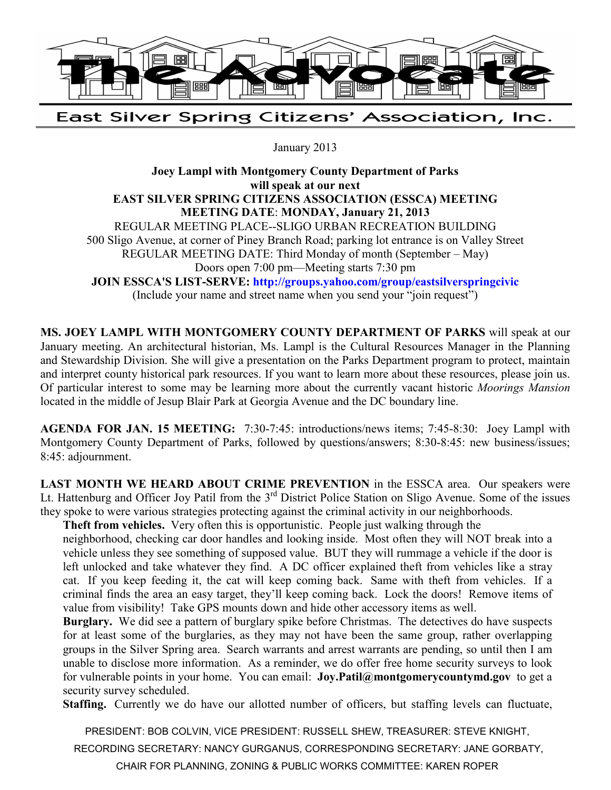

East Silver Spring Citizens' Association, Inc.

January 2013

**Joey Lampl with Montgomery County Department of Parks will speak at our next EAST SILVER SPRING CITIZENS ASSOCIATION (ESSCA) MEETING MEETING DATE**: **MONDAY, January 21, 2013**  REGULAR MEETING PLACE--SLIGO URBAN RECREATION BUILDING 500 Sligo Avenue, at corner of Piney Branch Road; parking lot entrance is on Valley Street REGULAR MEETING DATE: Third Monday of month (September – May) Doors open 7:00 pm—Meeting starts 7:30 pm **JOIN ESSCA'S LIST-SERVE: http://groups.yahoo.com/group/eastsilverspringcivic** (Include your name and street name when you send your "join request")

**MS. JOEY LAMPL WITH MONTGOMERY COUNTY DEPARTMENT OF PARKS** will speak at our January meeting. An architectural historian, Ms. Lampl is the Cultural Resources Manager in the Planning and Stewardship Division. She will give a presentation on the Parks Department program to protect, maintain and interpret county historical park resources. If you want to learn more about these resources, please join us. Of particular interest to some may be learning more about the currently vacant historic *Moorings Mansion* located in the middle of Jesup Blair Park at Georgia Avenue and the DC boundary line.

**AGENDA FOR JAN. 15 MEETING:** 7:30-7:45: introductions/news items; 7:45-8:30: Joey Lampl with Montgomery County Department of Parks, followed by questions/answers; 8:30-8:45: new business/issues; 8:45: adjournment.

LAST MONTH WE HEARD ABOUT CRIME PREVENTION in the ESSCA area. Our speakers were Lt. Hattenburg and Officer Joy Patil from the 3<sup>rd</sup> District Police Station on Sligo Avenue. Some of the issues they spoke to were various strategies protecting against the criminal activity in our neighborhoods.

**Theft from vehicles.** Very often this is opportunistic. People just walking through the

neighborhood, checking car door handles and looking inside. Most often they will NOT break into a vehicle unless they see something of supposed value. BUT they will rummage a vehicle if the door is left unlocked and take whatever they find. A DC officer explained theft from vehicles like a stray cat. If you keep feeding it, the cat will keep coming back. Same with theft from vehicles. If a criminal finds the area an easy target, they'll keep coming back. Lock the doors! Remove items of value from visibility! Take GPS mounts down and hide other accessory items as well.

**Burglary.** We did see a pattern of burglary spike before Christmas. The detectives do have suspects for at least some of the burglaries, as they may not have been the same group, rather overlapping groups in the Silver Spring area. Search warrants and arrest warrants are pending, so until then I am unable to disclose more information. As a reminder, we do offer free home security surveys to look for vulnerable points in your home. You can email: **Joy.Patil@montgomerycountymd.gov** to get a security survey scheduled.

**Staffing.** Currently we do have our allotted number of officers, but staffing levels can fluctuate,

PRESIDENT: BOB COLVIN, VICE PRESIDENT: RUSSELL SHEW, TREASURER: STEVE KNIGHT,

RECORDING SECRETARY: NANCY GURGANUS, CORRESPONDING SECRETARY: JANE GORBATY,

CHAIR FOR PLANNING, ZONING & PUBLIC WORKS COMMITTEE: KAREN ROPER